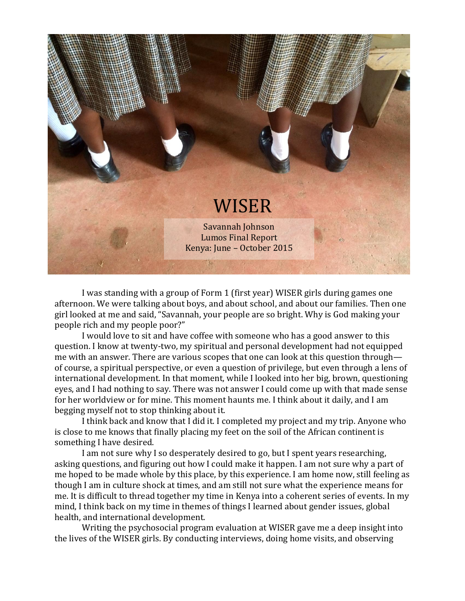

I was standing with a group of Form 1 (first year) WISER girls during games one afternoon. We were talking about boys, and about school, and about our families. Then one girl looked at me and said, "Savannah, your people are so bright. Why is God making your people rich and my people poor?"

I would love to sit and have coffee with someone who has a good answer to this question. I know at twenty-two, my spiritual and personal development had not equipped me with an answer. There are various scopes that one can look at this question through of course, a spiritual perspective, or even a question of privilege, but even through a lens of international development. In that moment, while I looked into her big, brown, questioning eyes, and I had nothing to say. There was not answer I could come up with that made sense for her worldview or for mine. This moment haunts me. I think about it daily, and I am begging myself not to stop thinking about it.

I think back and know that I did it. I completed my project and my trip. Anyone who is close to me knows that finally placing my feet on the soil of the African continent is something I have desired.

I am not sure why I so desperately desired to go, but I spent years researching, asking questions, and figuring out how I could make it happen. I am not sure why a part of me hoped to be made whole by this place, by this experience. I am home now, still feeling as though I am in culture shock at times, and am still not sure what the experience means for me. It is difficult to thread together my time in Kenya into a coherent series of events. In my mind, I think back on my time in themes of things I learned about gender issues, global health, and international development.

Writing the psychosocial program evaluation at WISER gave me a deep insight into the lives of the WISER girls. By conducting interviews, doing home visits, and observing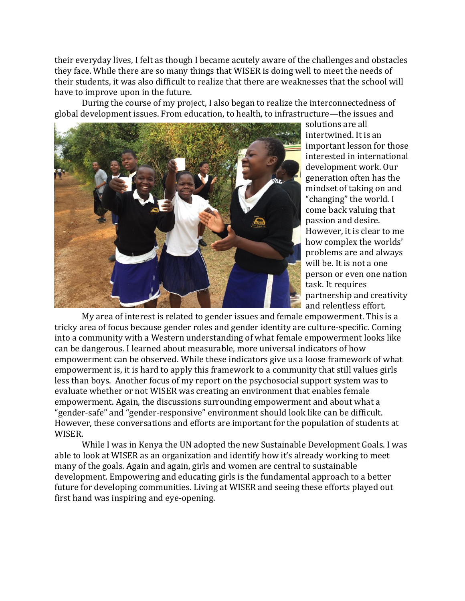their everyday lives, I felt as though I became acutely aware of the challenges and obstacles they face. While there are so many things that WISER is doing well to meet the needs of their students, it was also difficult to realize that there are weaknesses that the school will have to improve upon in the future.

During the course of my project, I also began to realize the interconnectedness of global development issues. From education, to health, to infrastructure—the issues and



solutions are all intertwined. It is an important lesson for those interested in international development work. Our generation often has the mindset of taking on and "changing" the world. I come back valuing that passion and desire. However, it is clear to me how complex the worlds' problems are and always will be. It is not a one person or even one nation task. It requires partnership and creativity and relentless effort.

My area of interest is related to gender issues and female empowerment. This is a tricky area of focus because gender roles and gender identity are culture-specific. Coming into a community with a Western understanding of what female empowerment looks like can be dangerous. I learned about measurable, more universal indicators of how empowerment can be observed. While these indicators give us a loose framework of what empowerment is, it is hard to apply this framework to a community that still values girls less than boys. Another focus of my report on the psychosocial support system was to evaluate whether or not WISER was creating an environment that enables female empowerment. Again, the discussions surrounding empowerment and about what a "gender-safe" and "gender-responsive" environment should look like can be difficult. However, these conversations and efforts are important for the population of students at WISER.

While I was in Kenya the UN adopted the new Sustainable Development Goals. I was able to look at WISER as an organization and identify how it's already working to meet many of the goals. Again and again, girls and women are central to sustainable development. Empowering and educating girls is the fundamental approach to a better future for developing communities. Living at WISER and seeing these efforts played out first hand was inspiring and eye-opening.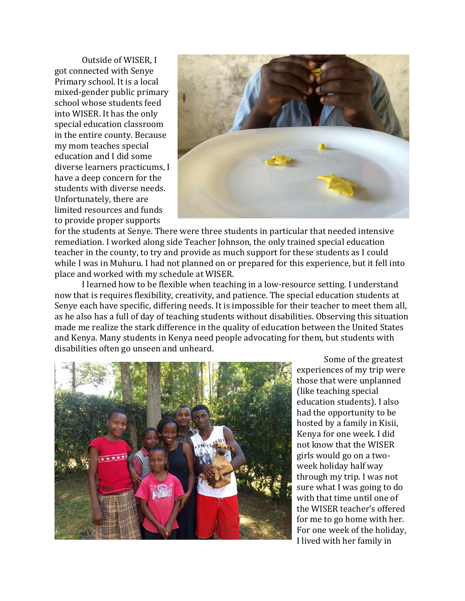Outside of WISER, I got connected with Senye Primary school. It is a local mixed-gender public primary school whose students feed into WISER. It has the only special education classroom in the entire county. Because my mom teaches special education and I did some diverse learners practicums, I have a deep concern for the students with diverse needs. Unfortunately, there are limited resources and funds to provide proper supports



for the students at Senye. There were three students in particular that needed intensive remediation. I worked along side Teacher Johnson, the only trained special education teacher in the county, to try and provide as much support for these students as I could while I was in Muhuru. I had not planned on or prepared for this experience, but it fell into place and worked with my schedule at WISER.

I learned how to be flexible when teaching in a low-resource setting. I understand now that is requires flexibility, creativity, and patience. The special education students at Senye each have specific, differing needs. It is impossible for their teacher to meet them all, as he also has a full of day of teaching students without disabilities. Observing this situation made me realize the stark difference in the quality of education between the United States and Kenya. Many students in Kenya need people advocating for them, but students with disabilities often go unseen and unheard.



Some of the greatest experiences of my trip were those that were unplanned (like teaching special education students). I also had the opportunity to be hosted by a family in Kisii, Kenya for one week. I did not know that the WISER girls would go on a twoweek holiday half way through my trip. I was not sure what I was going to do with that time until one of the WISER teacher's offered for me to go home with her. For one week of the holiday, I lived with her family in